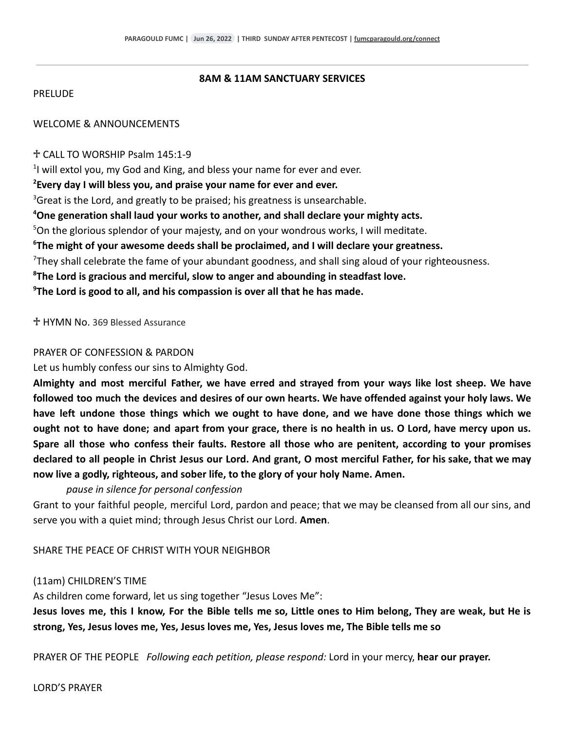#### **8AM & 11AM SANCTUARY SERVICES**

#### **PRELUDE**

# WELCOME & ANNOUNCEMENTS

#### ♱ CALL TO WORSHIP Psalm 145:1-9

<sup>1</sup>I will extol you, my God and King, and bless your name for ever and ever.

#### **<sup>2</sup>Every day I will bless you, and praise your name for ever and ever.**

 $3$ Great is the Lord, and greatly to be praised; his greatness is unsearchable.

# **<sup>4</sup>One generation shall laud your works to another, and shall declare your mighty acts.**

<sup>5</sup>On the glorious splendor of your majesty, and on your wondrous works, I will meditate.

# **<sup>6</sup>The might of your awesome deeds shall be proclaimed, and I will declare your greatness.**

 $<sup>7</sup>$ They shall celebrate the fame of your abundant goodness, and shall sing aloud of your righteousness.</sup>

**<sup>8</sup>The Lord is gracious and merciful, slow to anger and abounding in steadfast love.**

**<sup>9</sup>The Lord is good to all, and his compassion is over all that he has made.**

♱ HYMN No. 369 Blessed Assurance

#### PRAYER OF CONFESSION & PARDON

Let us humbly confess our sins to Almighty God.

Almighty and most merciful Father, we have erred and strayed from your ways like lost sheep. We have followed too much the devices and desires of our own hearts. We have offended against your holy laws. We have left undone those things which we ought to have done, and we have done those things which we ought not to have done; and apart from your grace, there is no health in us. O Lord, have mercy upon us. **Spare all those who confess their faults. Restore all those who are penitent, according to your promises** declared to all people in Christ Jesus our Lord. And grant, O most merciful Father, for his sake, that we may **now live a godly, righteous, and sober life, to the glory of your holy Name. Amen.**

# *pause in silence for personal confession*

Grant to your faithful people, merciful Lord, pardon and peace; that we may be cleansed from all our sins, and serve you with a quiet mind; through Jesus Christ our Lord. **Amen**.

SHARE THE PEACE OF CHRIST WITH YOUR NEIGHBOR

# (11am) CHILDREN'S TIME

As children come forward, let us sing together "Jesus Loves Me":

Jesus loves me, this I know, For the Bible tells me so, Little ones to Him belong, They are weak, but He is **strong, Yes, Jesus loves me, Yes, Jesus loves me, Yes, Jesus loves me, The Bible tells me so**

PRAYER OF THE PEOPLE *Following each petition, please respond:* Lord in your mercy, **hear our prayer.**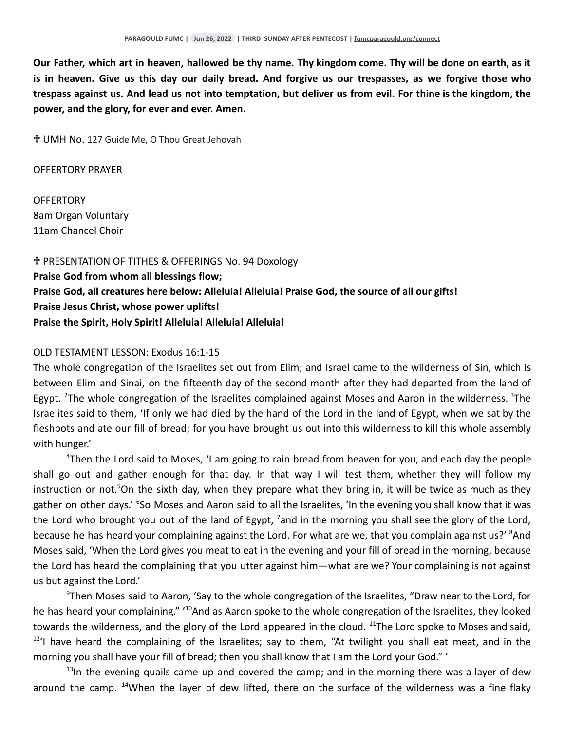Our Father, which art in heaven, hallowed be thy name. Thy kingdom come. Thy will be done on earth, as it is in heaven. Give us this day our daily bread. And forgive us our trespasses, as we forgive those who trespass against us. And lead us not into temptation, but deliver us from evil. For thine is the kingdom, the **power, and the glory, for ever and ever. Amen.**

♱ UMH No. 127 Guide Me, O Thou Great Jehovah

OFFERTORY PRAYER

**OFFERTORY** 8am Organ Voluntary 11am Chancel Choir

♱ PRESENTATION OF TITHES & OFFERINGS No. 94 Doxology **Praise God from whom all blessings flow; Praise God, all creatures here below: Alleluia! Alleluia! Praise God, the source of all our gifts! Praise Jesus Christ, whose power uplifts! Praise the Spirit, Holy Spirit! Alleluia! Alleluia! Alleluia!**

# OLD TESTAMENT LESSON: Exodus 16:1-15

The whole congregation of the Israelites set out from Elim; and Israel came to the wilderness of Sin, which is between Elim and Sinai, on the fifteenth day of the second month after they had departed from the land of Egypt. <sup>2</sup>The whole congregation of the Israelites complained against Moses and Aaron in the wilderness. <sup>3</sup>The Israelites said to them, 'If only we had died by the hand of the Lord in the land of Egypt, when we sat by the fleshpots and ate our fill of bread; for you have brought us out into this wilderness to kill this whole assembly with hunger.'

<sup>4</sup>Then the Lord said to Moses, 'I am going to rain bread from heaven for you, and each day the people shall go out and gather enough for that day. In that way I will test them, whether they will follow my instruction or not.<sup>5</sup>On the sixth day, when they prepare what they bring in, it will be twice as much as they gather on other days.' <sup>6</sup>So Moses and Aaron said to all the Israelites, 'In the evening you shall know that it was the Lord who brought you out of the land of Egypt,  $^7$ and in the morning you shall see the glory of the Lord, because he has heard your complaining against the Lord. For what are we, that you complain against us?' <sup>8</sup>And Moses said, 'When the Lord gives you meat to eat in the evening and your fill of bread in the morning, because the Lord has heard the complaining that you utter against him—what are we? Your complaining is not against us but against the Lord.'

 $9$ Then Moses said to Aaron, 'Say to the whole congregation of the Israelites, "Draw near to the Lord, for he has heard your complaining." '<sup>10</sup>And as Aaron spoke to the whole congregation of the Israelites, they looked towards the wilderness, and the glory of the Lord appeared in the cloud. <sup>11</sup>The Lord spoke to Moses and said, <sup>12</sup>'I have heard the complaining of the Israelites; say to them, "At twilight you shall eat meat, and in the morning you shall have your fill of bread; then you shall know that I am the Lord your God." '

 $13$ In the evening quails came up and covered the camp; and in the morning there was a layer of dew around the camp. <sup>14</sup>When the layer of dew lifted, there on the surface of the wilderness was a fine flaky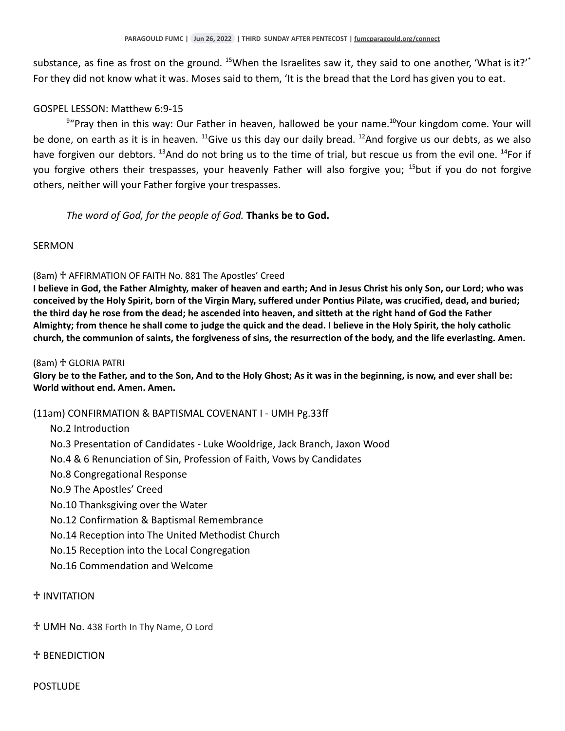substance, as fine as frost on the ground. <sup>15</sup>When the Israelites saw it, they said to one another, 'What is it?'<sup>\*</sup> For they did not know what it was. Moses said to them, 'It is the bread that the Lord has given you to eat.

# GOSPEL LESSON: Matthew 6:9-15

 $9"$ Pray then in this way: Our Father in heaven, hallowed be your name.<sup>10</sup>Your kingdom come. Your will be done, on earth as it is in heaven.  $^{11}$ Give us this day our daily bread.  $^{12}$ And forgive us our debts, as we also have forgiven our debtors. <sup>13</sup>And do not bring us to the time of trial, but rescue us from the evil one. <sup>14</sup>For if you forgive others their trespasses, your heavenly Father will also forgive you; <sup>15</sup>but if you do not forgive others, neither will your Father forgive your trespasses.

# *The word of God, for the people of God.* **Thanks be to God.**

# SERMON

# (8am) ♱ AFFIRMATION OF FAITH No. 881 The Apostles' Creed

I believe in God, the Father Almighty, maker of heaven and earth; And in Jesus Christ his only Son, our Lord; who was conceived by the Holy Spirit, born of the Virgin Mary, suffered under Pontius Pilate, was crucified, dead, and buried; the third day he rose from the dead; he ascended into heaven, and sitteth at the right hand of God the Father Almighty; from thence he shall come to judge the quick and the dead. I believe in the Holy Spirit, the holy catholic church, the communion of saints, the forgiveness of sins, the resurrection of the body, and the life everlasting. Amen.

#### (8am) ♱ GLORIA PATRI

Glory be to the Father, and to the Son, And to the Holy Ghost; As it was in the beginning, is now, and ever shall be: **World without end. Amen. Amen.**

# (11am) CONFIRMATION & BAPTISMAL COVENANT I - UMH Pg.33ff

# No.2 Introduction

- No.3 Presentation of Candidates Luke Wooldrige, Jack Branch, Jaxon Wood
- No.4 & 6 Renunciation of Sin, Profession of Faith, Vows by Candidates
- No.8 Congregational Response
- No.9 The Apostles' Creed
- No.10 Thanksgiving over the Water
- No.12 Confirmation & Baptismal Remembrance
- No.14 Reception into The United Methodist Church
- No.15 Reception into the Local Congregation
- No.16 Commendation and Welcome

# ♱ INVITATION

# ♱ UMH No. 438 Forth In Thy Name, O Lord

# ♱ BENEDICTION

**POSTLUDE**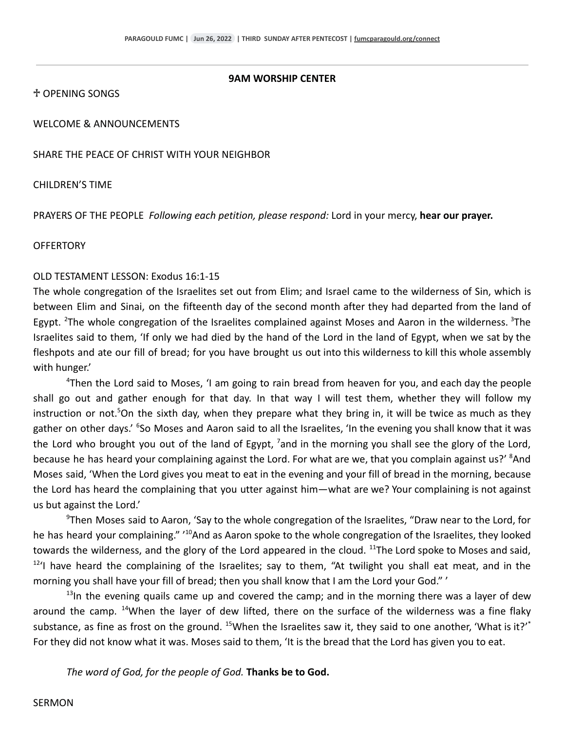#### **9AM WORSHIP CENTER**

♱ OPENING SONGS

WELCOME & ANNOUNCEMENTS

SHARE THE PEACE OF CHRIST WITH YOUR NEIGHBOR

CHILDREN'S TIME

PRAYERS OF THE PEOPLE *Following each petition, please respond:* Lord in your mercy, **hear our prayer.**

#### **OFFERTORY**

#### OLD TESTAMENT LESSON: Exodus 16:1-15

The whole congregation of the Israelites set out from Elim; and Israel came to the wilderness of Sin, which is between Elim and Sinai, on the fifteenth day of the second month after they had departed from the land of Egypt. <sup>2</sup>The whole congregation of the Israelites complained against Moses and Aaron in the wilderness. <sup>3</sup>The Israelites said to them, 'If only we had died by the hand of the Lord in the land of Egypt, when we sat by the fleshpots and ate our fill of bread; for you have brought us out into this wilderness to kill this whole assembly with hunger.'

<sup>4</sup>Then the Lord said to Moses, 'I am going to rain bread from heaven for you, and each day the people shall go out and gather enough for that day. In that way I will test them, whether they will follow my instruction or not.<sup>5</sup>On the sixth day, when they prepare what they bring in, it will be twice as much as they gather on other days.' <sup>6</sup>So Moses and Aaron said to all the Israelites, 'In the evening you shall know that it was the Lord who brought you out of the land of Egypt,  $^7$  and in the morning you shall see the glory of the Lord, because he has heard your complaining against the Lord. For what are we, that you complain against us?' <sup>8</sup>And Moses said, 'When the Lord gives you meat to eat in the evening and your fill of bread in the morning, because the Lord has heard the complaining that you utter against him—what are we? Your complaining is not against us but against the Lord.'

<sup>9</sup>Then Moses said to Aaron, 'Say to the whole congregation of the Israelites, "Draw near to the Lord, for he has heard your complaining." '<sup>10</sup>And as Aaron spoke to the whole congregation of the Israelites, they looked towards the wilderness, and the glory of the Lord appeared in the cloud. <sup>11</sup>The Lord spoke to Moses and said, <sup>12</sup>'I have heard the complaining of the Israelites; say to them, "At twilight you shall eat meat, and in the morning you shall have your fill of bread; then you shall know that I am the Lord your God." '

 $13$ In the evening quails came up and covered the camp; and in the morning there was a layer of dew around the camp. <sup>14</sup>When the layer of dew lifted, there on the surface of the wilderness was a fine flaky substance, as fine as frost on the ground. <sup>15</sup>When the Israelites saw it, they said to one another, 'What is it?'<sup>\*</sup> For they did not know what it was. Moses said to them, 'It is the bread that the Lord has given you to eat.

*The word of God, for the people of God.* **Thanks be to God.**